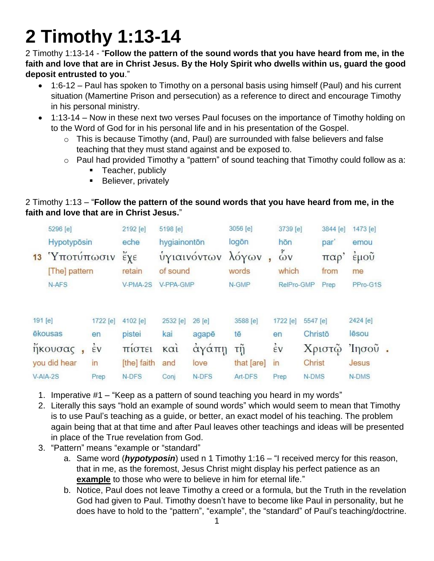## **2 Timothy 1:13-14**

2 Timothy 1:13-14 - "**Follow the pattern of the sound words that you have heard from me, in the faith and love that are in Christ Jesus. By the Holy Spirit who dwells within us, guard the good deposit entrusted to you**."

- 1:6-12 Paul has spoken to Timothy on a personal basis using himself (Paul) and his current situation (Mamertine Prison and persecution) as a reference to direct and encourage Timothy in his personal ministry.
- 1:13-14 Now in these next two verses Paul focuses on the importance of Timothy holding on to the Word of God for in his personal life and in his presentation of the Gospel.
	- $\circ$  This is because Timothy (and, Paul) are surrounded with false believers and false teaching that they must stand against and be exposed to.
	- o Paul had provided Timothy a "pattern" of sound teaching that Timothy could follow as a:
		- Teacher, publicly
		- **Believer, privately**

## 2 Timothy 1:13 – "**Follow the pattern of the sound words that you have heard from me, in the faith and love that are in Christ Jesus.**"

| 5296 [e]            |                                                           | 2192 [e]                                   | 5198 [e]                       |        | 3056 [e]                  |                    |            | 3844 [e]               | 1473 [e]                                         |  |
|---------------------|-----------------------------------------------------------|--------------------------------------------|--------------------------------|--------|---------------------------|--------------------|------------|------------------------|--------------------------------------------------|--|
|                     |                                                           | eche                                       |                                |        | logōn                     | hōn                |            | par                    | emou                                             |  |
| 13<br>[The] pattern |                                                           | $\check{\epsilon} \chi \epsilon$<br>retain | <b>υγιαινοντων</b><br>of sound |        | λόγων<br>words            | $\tilde{\omega}$ v |            | παρ<br>from            | έμοῦ<br>me                                       |  |
| N-AFS               |                                                           | V-PMA-2S                                   |                                |        | N-GMP                     |                    |            | Prep                   | PPro-G1S                                         |  |
|                     | 1722 [e]                                                  | 4102 [e]                                   | 2532 [e]                       | 26 [e] | 3588 [e]                  | 1722 [e]           |            |                        | 2424 [e]                                         |  |
|                     | en                                                        | pistei                                     | kai                            | agapē  | tē                        | en                 |            |                        | lēsou                                            |  |
|                     | έV                                                        | πιστει                                     | $K\alpha$                      |        | τŋ                        | $\dot{\epsilon}$ v |            |                        | Ίησου                                            |  |
|                     | in                                                        | [the] faith                                | and                            | love   | that [are]                | in                 |            |                        | Jesus                                            |  |
|                     | Prep                                                      | N-DFS                                      | Conj                           | N-DFS  | Art-DFS                   | Prep               |            |                        | N-DMS                                            |  |
|                     | 191 [e]<br>ēkousas<br>ήκουσας<br>you did hear<br>V-AIA-2S | Hypotypösin<br><i>'Υποτύπωσιν</i>          |                                |        | hygiainonton<br>V-PPA-GMP | αγαπη              | ŋ<br>which | 3739 [e]<br>RelPro-GMP | 5547 [e]<br>Christō<br>Χριστώ<br>Christ<br>N-DMS |  |

- 1. Imperative #1 "Keep as a pattern of sound teaching you heard in my words"
- 2. Literally this says "hold an example of sound words" which would seem to mean that Timothy is to use Paul's teaching as a guide, or better, an exact model of his teaching. The problem again being that at that time and after Paul leaves other teachings and ideas will be presented in place of the True revelation from God.
- 3. "Pattern" means "example or "standard"
	- a. Same word (*hypotyposin*) used n 1 Timothy 1:16 "I received mercy for this reason, that in me, as the foremost, Jesus Christ might display his perfect patience as an **example** to those who were to believe in him for eternal life."
	- b. Notice, Paul does not leave Timothy a creed or a formula, but the Truth in the revelation God had given to Paul. Timothy doesn't have to become like Paul in personality, but he does have to hold to the "pattern", "example", the "standard" of Paul's teaching/doctrine.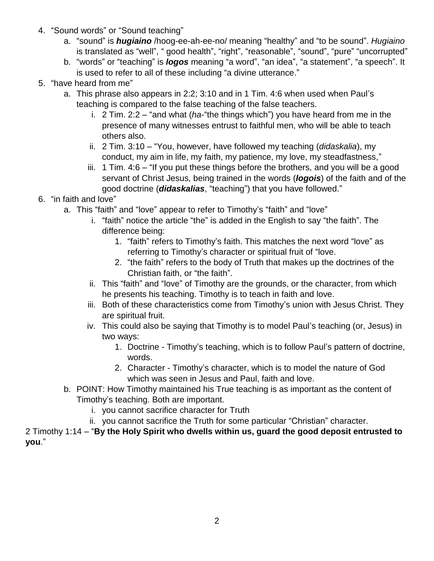- 4. "Sound words" or "Sound teaching"
	- a. "sound" is *hugiaino* /hoog-ee-ah-ee-no/ meaning "healthy" and "to be sound". *Hugiaino* is translated as "well", " good health", "right", "reasonable", "sound", "pure" "uncorrupted"
	- b. "words" or "teaching" is *logos* meaning "a word", "an idea", "a statement", "a speech". It is used to refer to all of these including "a divine utterance."
- 5. "have heard from me"
	- a. This phrase also appears in 2:2; 3:10 and in 1 Tim. 4:6 when used when Paul's teaching is compared to the false teaching of the false teachers.
		- i. 2 Tim. 2:2 "and what (*ha*-"the things which") you have heard from me in the presence of many witnesses entrust to faithful men, who will be able to teach others also.
		- ii. 2 Tim. 3:10 "You, however, have followed my teaching (*didaskalia*), my conduct, my aim in life, my faith, my patience, my love, my steadfastness,"
		- iii. 1 Tim. 4:6 "If you put these things before the brothers, and you will be a good servant of Christ Jesus, being trained in the words (*logois*) of the faith and of the good doctrine (*didaskalias*, "teaching") that you have followed."
- 6. "in faith and love"
	- a. This "faith" and "love" appear to refer to Timothy's "faith" and "love"
		- i. "faith" notice the article "the" is added in the English to say "the faith". The difference being:
			- 1. "faith" refers to Timothy's faith. This matches the next word "love" as referring to Timothy's character or spiritual fruit of "love.
			- 2. "the faith" refers to the body of Truth that makes up the doctrines of the Christian faith, or "the faith".
		- ii. This "faith" and "love" of Timothy are the grounds, or the character, from which he presents his teaching. Timothy is to teach in faith and love.
		- iii. Both of these characteristics come from Timothy's union with Jesus Christ. They are spiritual fruit.
		- iv. This could also be saying that Timothy is to model Paul's teaching (or, Jesus) in two ways:
			- 1. Doctrine Timothy's teaching, which is to follow Paul's pattern of doctrine, words.
			- 2. Character Timothy's character, which is to model the nature of God which was seen in Jesus and Paul, faith and love.
	- b. POINT: How Timothy maintained his True teaching is as important as the content of Timothy's teaching. Both are important.
		- i. you cannot sacrifice character for Truth
		- ii. you cannot sacrifice the Truth for some particular "Christian" character.

2 Timothy 1:14 – "**By the Holy Spirit who dwells within us, guard the good deposit entrusted to you**."